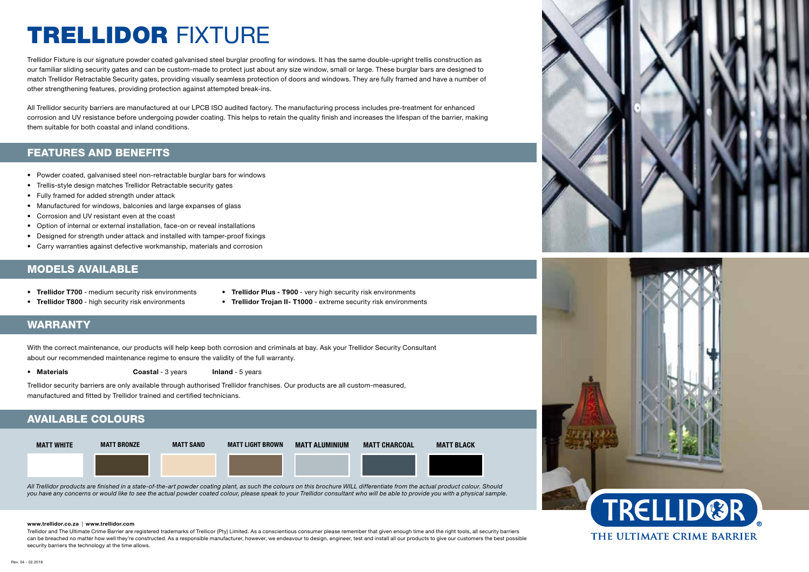# TRELLIDOR FIXTURE

Trellidor Fixture is our signature powder coated galvanised steel burglar proofing for windows. It has the same double-upright trellis construction as our familiar sliding security gates and can be custom-made to protect just about any size window, small or large. These burglar bars are designed to match Trellidor Retractable Security gates, providing visually seamless protection of doors and windows. They are fully framed and have a number of other strengthening features, providing protection against attempted break-ins.

All Trellidor security barriers are manufactured at our LPCB ISO audited factory. The manufacturing process includes pre-treatment for enhanced corrosion and UV resistance before undergoing powder coating. This helps to retain the quality finish and increases the lifespan of the barrier, making them suitable for both coastal and inland conditions.

### FEATURES AND BENEFITS

- Powder coated, galvanised steel non-retractable burglar bars for windows
- Trellis-style design matches Trellidor Retractable security gates
- Fully framed for added strength under attack
- Manufactured for windows, balconies and large expanses of glass
- Corrosion and UV resistant even at the coast
- Option of internal or external installation, face-on or reveal installations
- Designed for strength under attack and installed with tamper-proof fixings
- Carry warranties against defective workmanship, materials and corrosion

#### MODELS AVAILABLE

- Trellidor T700 medium security risk environments
- Trellidor Plus T900 very high security risk environments
- Trellidor T800 high security risk environments
- 
- Trellidor Trojan II- T1000 extreme security risk environments

### WARRANTY

With the correct maintenance, our products will help keep both corrosion and criminals at bay. Ask your Trellidor Security Consultant about our recommended maintenance regime to ensure the validity of the full warranty.

• Materials **Coastal - 3 years** Inland - 5 years

Trellidor security barriers are only available through authorised Trellidor franchises. Our products are all custom-measured, manufactured and fitted by Trellidor trained and certified technicians.

## AVAILABLE COLOURS



*All Trellidor products are finished in a state-of-the-art powder coating plant, as such the colours on this brochure WILL differentiate from the actual product colour. Should you have any concerns or would like to see the actual powder coated colour, please speak to your Trellidor consultant who will be able to provide you with a physical sample.*

#### www.trellidor.co.za | www.trellidor.com

Trellidor and The Ultimate Crime Barrier are registered trademarks of Trellicor (Pty) Limited. As a conscientious consumer please remember that given enough time and the right tools, all security barriers can be breached no matter how well they're constructed. As a responsible manufacturer, however, we endeavour to design, engineer, test and install all our products to give our customers the best possible security barriers the technology at the time allows.